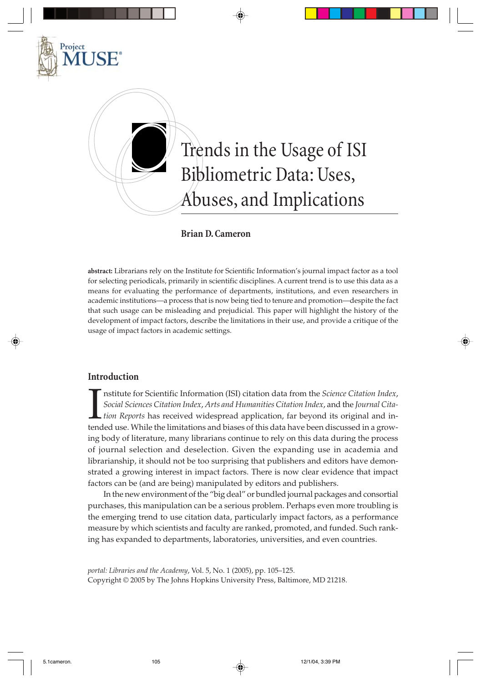

### **Brian D. Cameron**

**abstract:** Librarians rely on the Institute for Scientific Information's journal impact factor as a tool for selecting periodicals, primarily in scientific disciplines. A current trend is to use this data as a means for evaluating the performance of departments, institutions, and even researchers in academic institutions—a process that is now being tied to tenure and promotion—despite the fact that such usage can be misleading and prejudicial. This paper will highlight the history of the development of impact factors, describe the limitations in their use, and provide a critique of the usage of impact factors in academic settings.

### **Introduction**

**IN** nstitute for Scientific Information (ISI) citation data from the *Science Citation Index*, *Social Sciences Citation Index*, *Arts and Humanities Citation Index*, and the *Journal Citation Reports* has received widesp nstitute for Scientific Information (ISI) citation data from the *Science Citation Index*, *Social Sciences Citation Index*, *Arts and Humanities Citation Index*, and the *Journal Citation Reports* has received widespread application, far beyond its original and ining body of literature, many librarians continue to rely on this data during the process of journal selection and deselection. Given the expanding use in academia and librarianship, it should not be too surprising that publishers and editors have demonstrated a growing interest in impact factors. There is now clear evidence that impact factors can be (and are being) manipulated by editors and publishers.

In the new environment of the "big deal" or bundled journal packages and consortial purchases, this manipulation can be a serious problem. Perhaps even more troubling is the emerging trend to use citation data, particularly impact factors, as a performance measure by which scientists and faculty are ranked, promoted, and funded. Such ranking has expanded to departments, laboratories, universities, and even countries.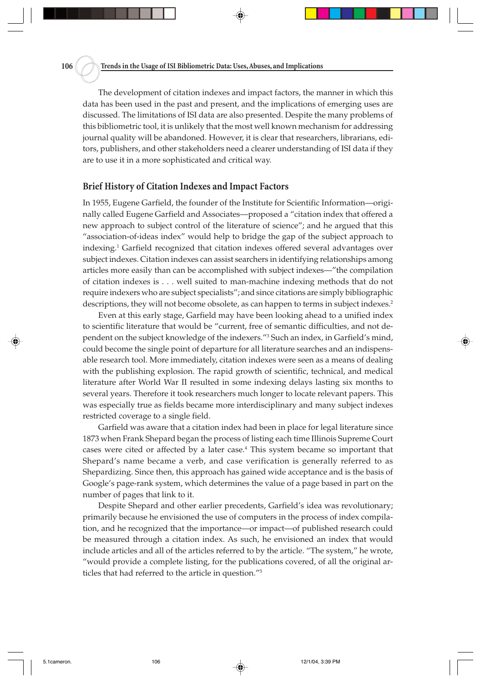The development of citation indexes and impact factors, the manner in which this data has been used in the past and present, and the implications of emerging uses are discussed. The limitations of ISI data are also presented. Despite the many problems of this bibliometric tool, it is unlikely that the most well known mechanism for addressing journal quality will be abandoned. However, it is clear that researchers, librarians, editors, publishers, and other stakeholders need a clearer understanding of ISI data if they are to use it in a more sophisticated and critical way.

#### **Brief History of Citation Indexes and Impact Factors**

In 1955, Eugene Garfield, the founder of the Institute for Scientific Information—originally called Eugene Garfield and Associates—proposed a "citation index that offered a new approach to subject control of the literature of science"; and he argued that this "association-of-ideas index" would help to bridge the gap of the subject approach to indexing.1 Garfield recognized that citation indexes offered several advantages over subject indexes. Citation indexes can assist searchers in identifying relationships among articles more easily than can be accomplished with subject indexes—"the compilation of citation indexes is . . . well suited to man-machine indexing methods that do not require indexers who are subject specialists"; and since citations are simply bibliographic descriptions, they will not become obsolete, as can happen to terms in subject indexes.<sup>2</sup>

Even at this early stage, Garfield may have been looking ahead to a unified index to scientific literature that would be "current, free of semantic difficulties, and not dependent on the subject knowledge of the indexers."3 Such an index, in Garfield's mind, could become the single point of departure for all literature searches and an indispensable research tool. More immediately, citation indexes were seen as a means of dealing with the publishing explosion. The rapid growth of scientific, technical, and medical literature after World War II resulted in some indexing delays lasting six months to several years. Therefore it took researchers much longer to locate relevant papers. This was especially true as fields became more interdisciplinary and many subject indexes restricted coverage to a single field.

Garfield was aware that a citation index had been in place for legal literature since 1873 when Frank Shepard began the process of listing each time Illinois Supreme Court cases were cited or affected by a later case.4 This system became so important that Shepard's name became a verb, and case verification is generally referred to as Shepardizing. Since then, this approach has gained wide acceptance and is the basis of Google's page-rank system, which determines the value of a page based in part on the number of pages that link to it.

Despite Shepard and other earlier precedents, Garfield's idea was revolutionary; primarily because he envisioned the use of computers in the process of index compilation, and he recognized that the importance—or impact—of published research could be measured through a citation index. As such, he envisioned an index that would include articles and all of the articles referred to by the article. "The system," he wrote, "would provide a complete listing, for the publications covered, of all the original articles that had referred to the article in question."5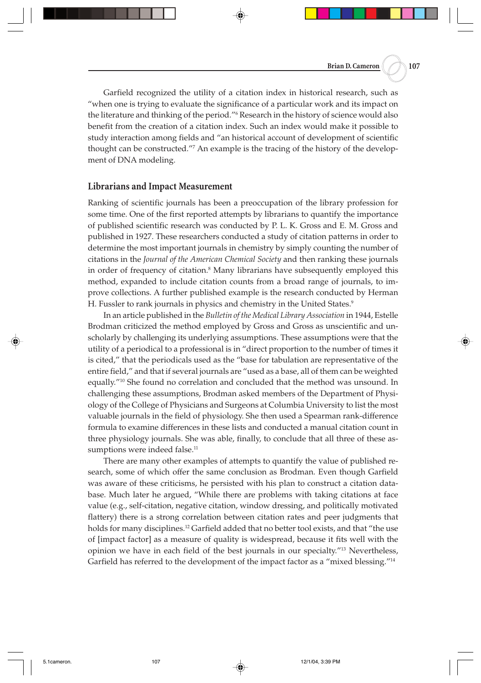Garfield recognized the utility of a citation index in historical research, such as "when one is trying to evaluate the significance of a particular work and its impact on the literature and thinking of the period."6 Research in the history of science would also benefit from the creation of a citation index. Such an index would make it possible to study interaction among fields and "an historical account of development of scientific thought can be constructed."7 An example is the tracing of the history of the development of DNA modeling.

#### **Librarians and Impact Measurement**

Ranking of scientific journals has been a preoccupation of the library profession for some time. One of the first reported attempts by librarians to quantify the importance of published scientific research was conducted by P. L. K. Gross and E. M. Gross and published in 1927. These researchers conducted a study of citation patterns in order to determine the most important journals in chemistry by simply counting the number of citations in the *Journal of the American Chemical Society* and then ranking these journals in order of frequency of citation.<sup>8</sup> Many librarians have subsequently employed this method, expanded to include citation counts from a broad range of journals, to improve collections. A further published example is the research conducted by Herman H. Fussler to rank journals in physics and chemistry in the United States.<sup>9</sup>

In an article published in the *Bulletin of the Medical Library Association* in 1944, Estelle Brodman criticized the method employed by Gross and Gross as unscientific and unscholarly by challenging its underlying assumptions. These assumptions were that the utility of a periodical to a professional is in "direct proportion to the number of times it is cited," that the periodicals used as the "base for tabulation are representative of the entire field," and that if several journals are "used as a base, all of them can be weighted equally."10 She found no correlation and concluded that the method was unsound. In challenging these assumptions, Brodman asked members of the Department of Physiology of the College of Physicians and Surgeons at Columbia University to list the most valuable journals in the field of physiology. She then used a Spearman rank-difference formula to examine differences in these lists and conducted a manual citation count in three physiology journals. She was able, finally, to conclude that all three of these assumptions were indeed false.<sup>11</sup>

There are many other examples of attempts to quantify the value of published research, some of which offer the same conclusion as Brodman. Even though Garfield was aware of these criticisms, he persisted with his plan to construct a citation database. Much later he argued, "While there are problems with taking citations at face value (e.g., self-citation, negative citation, window dressing, and politically motivated flattery) there is a strong correlation between citation rates and peer judgments that holds for many disciplines.<sup>12</sup> Garfield added that no better tool exists, and that "the use of [impact factor] as a measure of quality is widespread, because it fits well with the opinion we have in each field of the best journals in our specialty."13 Nevertheless, Garfield has referred to the development of the impact factor as a "mixed blessing."14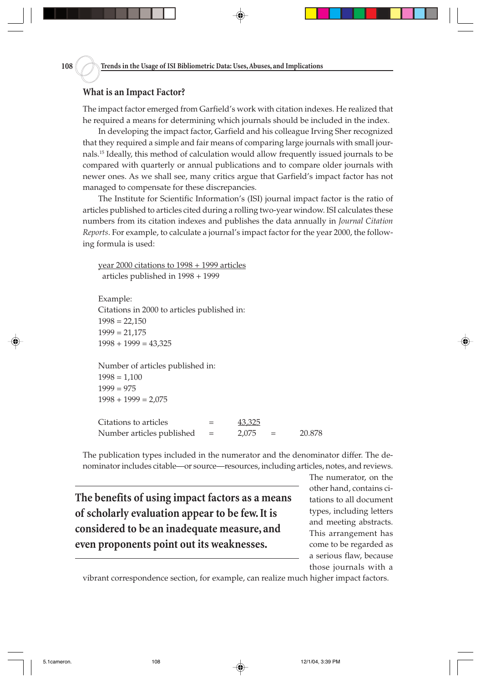## **What is an Impact Factor?**

The impact factor emerged from Garfield's work with citation indexes. He realized that he required a means for determining which journals should be included in the index.

In developing the impact factor, Garfield and his colleague Irving Sher recognized that they required a simple and fair means of comparing large journals with small journals.15 Ideally, this method of calculation would allow frequently issued journals to be compared with quarterly or annual publications and to compare older journals with newer ones. As we shall see, many critics argue that Garfield's impact factor has not managed to compensate for these discrepancies.

The Institute for Scientific Information's (ISI) journal impact factor is the ratio of articles published to articles cited during a rolling two-year window. ISI calculates these numbers from its citation indexes and publishes the data annually in *Journal Citation Reports*. For example, to calculate a journal's impact factor for the year 2000, the following formula is used:

year 2000 citations to 1998 + 1999 articles articles published in 1998 + 1999

Example: Citations in 2000 to articles published in:  $1998 = 22,150$  $1999 = 21,175$  $1998 + 1999 = 43,325$ 

Number of articles published in:  $1998 = 1,100$  $1999 = 975$  $1998 + 1999 = 2,075$ 

Citations to articles  $=$  43,325 Number articles published  $= 2,075 = 20.878$ 

The publication types included in the numerator and the denominator differ. The denominator includes citable—or source—resources, including articles, notes, and reviews.

**The benefits of using impact factors as a means of scholarly evaluation appear to be few. It is considered to be an inadequate measure, and even proponents point out its weaknesses.**

The numerator, on the other hand, contains citations to all document types, including letters and meeting abstracts. This arrangement has come to be regarded as a serious flaw, because those journals with a

vibrant correspondence section, for example, can realize much higher impact factors.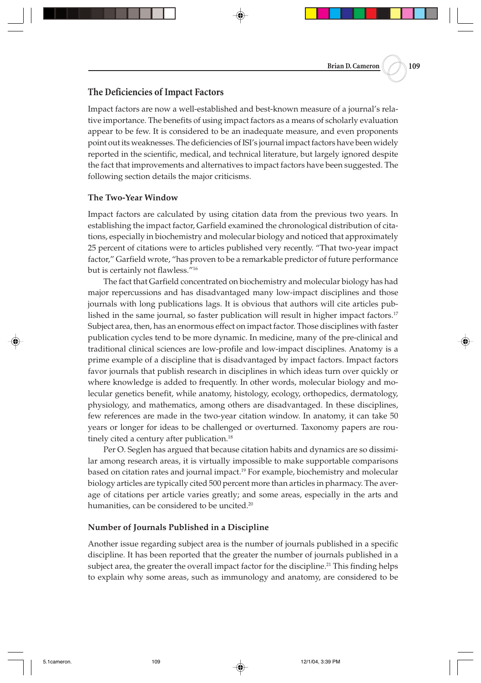## **The Deficiencies of Impact Factors**

Impact factors are now a well-established and best-known measure of a journal's relative importance. The benefits of using impact factors as a means of scholarly evaluation appear to be few. It is considered to be an inadequate measure, and even proponents point out its weaknesses. The deficiencies of ISI's journal impact factors have been widely reported in the scientific, medical, and technical literature, but largely ignored despite the fact that improvements and alternatives to impact factors have been suggested. The following section details the major criticisms.

### **The Two-Year Window**

Impact factors are calculated by using citation data from the previous two years. In establishing the impact factor, Garfield examined the chronological distribution of citations, especially in biochemistry and molecular biology and noticed that approximately 25 percent of citations were to articles published very recently. "That two-year impact factor," Garfield wrote, "has proven to be a remarkable predictor of future performance but is certainly not flawless."16

The fact that Garfield concentrated on biochemistry and molecular biology has had major repercussions and has disadvantaged many low-impact disciplines and those journals with long publications lags. It is obvious that authors will cite articles published in the same journal, so faster publication will result in higher impact factors.<sup>17</sup> Subject area, then, has an enormous effect on impact factor. Those disciplines with faster publication cycles tend to be more dynamic. In medicine, many of the pre-clinical and traditional clinical sciences are low-profile and low-impact disciplines. Anatomy is a prime example of a discipline that is disadvantaged by impact factors. Impact factors favor journals that publish research in disciplines in which ideas turn over quickly or where knowledge is added to frequently. In other words, molecular biology and molecular genetics benefit, while anatomy, histology, ecology, orthopedics, dermatology, physiology, and mathematics, among others are disadvantaged. In these disciplines, few references are made in the two-year citation window. In anatomy, it can take 50 years or longer for ideas to be challenged or overturned. Taxonomy papers are routinely cited a century after publication.<sup>18</sup>

Per O. Seglen has argued that because citation habits and dynamics are so dissimilar among research areas, it is virtually impossible to make supportable comparisons based on citation rates and journal impact.19 For example, biochemistry and molecular biology articles are typically cited 500 percent more than articles in pharmacy. The average of citations per article varies greatly; and some areas, especially in the arts and humanities, can be considered to be uncited.<sup>20</sup>

### **Number of Journals Published in a Discipline**

Another issue regarding subject area is the number of journals published in a specific discipline. It has been reported that the greater the number of journals published in a subject area, the greater the overall impact factor for the discipline.<sup>21</sup> This finding helps to explain why some areas, such as immunology and anatomy, are considered to be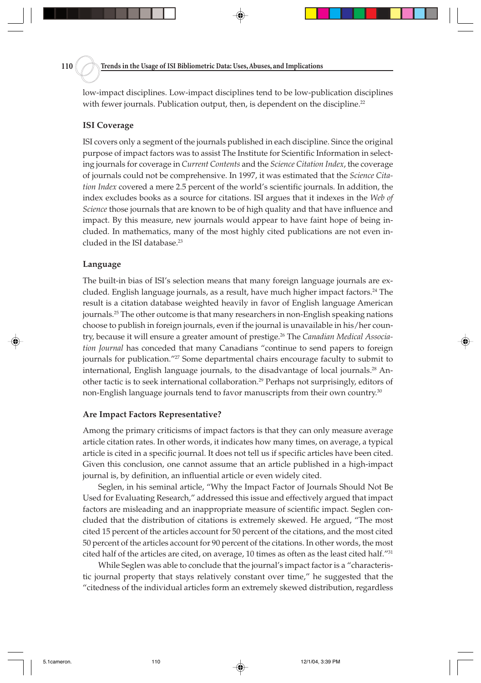low-impact disciplines. Low-impact disciplines tend to be low-publication disciplines with fewer journals. Publication output, then, is dependent on the discipline.<sup>22</sup>

#### **ISI Coverage**

ISI covers only a segment of the journals published in each discipline. Since the original purpose of impact factors was to assist The Institute for Scientific Information in selecting journals for coverage in *Current Contents* and the *Science Citation Index*, the coverage of journals could not be comprehensive. In 1997, it was estimated that the *Science Citation Index* covered a mere 2.5 percent of the world's scientific journals. In addition, the index excludes books as a source for citations. ISI argues that it indexes in the *Web of Science* those journals that are known to be of high quality and that have influence and impact. By this measure, new journals would appear to have faint hope of being included. In mathematics, many of the most highly cited publications are not even included in the ISI database.<sup>23</sup>

#### **Language**

The built-in bias of ISI's selection means that many foreign language journals are excluded. English language journals, as a result, have much higher impact factors.<sup>24</sup> The result is a citation database weighted heavily in favor of English language American journals.25 The other outcome is that many researchers in non-English speaking nations choose to publish in foreign journals, even if the journal is unavailable in his/her country, because it will ensure a greater amount of prestige.26 The *Canadian Medical Association Journal* has conceded that many Canadians "continue to send papers to foreign journals for publication."27 Some departmental chairs encourage faculty to submit to international, English language journals, to the disadvantage of local journals.<sup>28</sup> Another tactic is to seek international collaboration.29 Perhaps not surprisingly, editors of non-English language journals tend to favor manuscripts from their own country.<sup>30</sup>

#### **Are Impact Factors Representative?**

Among the primary criticisms of impact factors is that they can only measure average article citation rates. In other words, it indicates how many times, on average, a typical article is cited in a specific journal. It does not tell us if specific articles have been cited. Given this conclusion, one cannot assume that an article published in a high-impact journal is, by definition, an influential article or even widely cited.

Seglen, in his seminal article, "Why the Impact Factor of Journals Should Not Be Used for Evaluating Research," addressed this issue and effectively argued that impact factors are misleading and an inappropriate measure of scientific impact. Seglen concluded that the distribution of citations is extremely skewed. He argued, "The most cited 15 percent of the articles account for 50 percent of the citations, and the most cited 50 percent of the articles account for 90 percent of the citations. In other words, the most cited half of the articles are cited, on average, 10 times as often as the least cited half."31

While Seglen was able to conclude that the journal's impact factor is a "characteristic journal property that stays relatively constant over time," he suggested that the "citedness of the individual articles form an extremely skewed distribution, regardless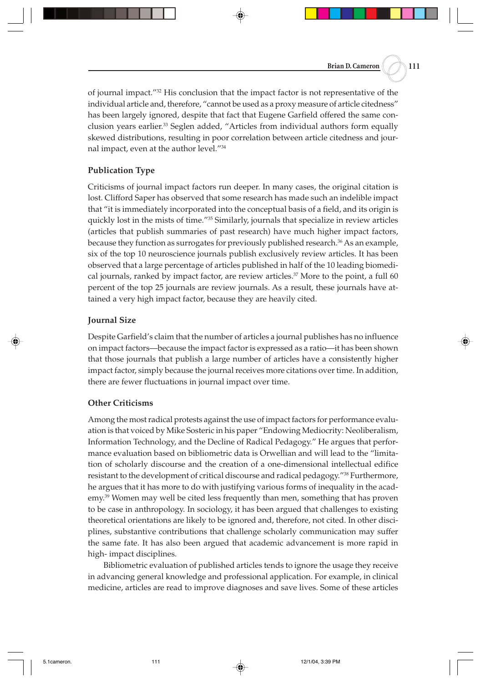of journal impact."32 His conclusion that the impact factor is not representative of the individual article and, therefore, "cannot be used as a proxy measure of article citedness" has been largely ignored, despite that fact that Eugene Garfield offered the same conclusion years earlier.33 Seglen added, "Articles from individual authors form equally skewed distributions, resulting in poor correlation between article citedness and journal impact, even at the author level."34

# **Publication Type**

Criticisms of journal impact factors run deeper. In many cases, the original citation is lost. Clifford Saper has observed that some research has made such an indelible impact that "it is immediately incorporated into the conceptual basis of a field, and its origin is quickly lost in the mists of time."<sup>35</sup> Similarly, journals that specialize in review articles (articles that publish summaries of past research) have much higher impact factors, because they function as surrogates for previously published research.<sup>36</sup> As an example, six of the top 10 neuroscience journals publish exclusively review articles. It has been observed that a large percentage of articles published in half of the 10 leading biomedical journals, ranked by impact factor, are review articles.<sup>37</sup> More to the point, a full 60 percent of the top 25 journals are review journals. As a result, these journals have attained a very high impact factor, because they are heavily cited.

# **Journal Size**

Despite Garfield's claim that the number of articles a journal publishes has no influence on impact factors—because the impact factor is expressed as a ratio—it has been shown that those journals that publish a large number of articles have a consistently higher impact factor, simply because the journal receives more citations over time. In addition, there are fewer fluctuations in journal impact over time.

### **Other Criticisms**

Among the most radical protests against the use of impact factors for performance evaluation is that voiced by Mike Sosteric in his paper "Endowing Mediocrity: Neoliberalism, Information Technology, and the Decline of Radical Pedagogy." He argues that performance evaluation based on bibliometric data is Orwellian and will lead to the "limitation of scholarly discourse and the creation of a one-dimensional intellectual edifice resistant to the development of critical discourse and radical pedagogy."<sup>38</sup> Furthermore, he argues that it has more to do with justifying various forms of inequality in the academy.39 Women may well be cited less frequently than men, something that has proven to be case in anthropology. In sociology, it has been argued that challenges to existing theoretical orientations are likely to be ignored and, therefore, not cited. In other disciplines, substantive contributions that challenge scholarly communication may suffer the same fate. It has also been argued that academic advancement is more rapid in high- impact disciplines.

Bibliometric evaluation of published articles tends to ignore the usage they receive in advancing general knowledge and professional application. For example, in clinical medicine, articles are read to improve diagnoses and save lives. Some of these articles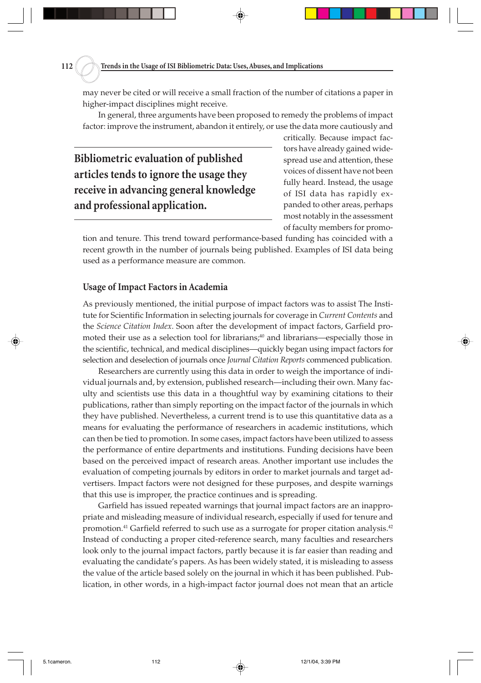may never be cited or will receive a small fraction of the number of citations a paper in higher-impact disciplines might receive.

In general, three arguments have been proposed to remedy the problems of impact factor: improve the instrument, abandon it entirely, or use the data more cautiously and

**Bibliometric evaluation of published articles tends to ignore the usage they receive in advancing general knowledge and professional application.**

critically. Because impact factors have already gained widespread use and attention, these voices of dissent have not been fully heard. Instead, the usage of ISI data has rapidly expanded to other areas, perhaps most notably in the assessment of faculty members for promo-

tion and tenure. This trend toward performance-based funding has coincided with a recent growth in the number of journals being published. Examples of ISI data being used as a performance measure are common.

# **Usage of Impact Factors in Academia**

As previously mentioned, the initial purpose of impact factors was to assist The Institute for Scientific Information in selecting journals for coverage in *Current Contents* and the *Science Citation Index*. Soon after the development of impact factors, Garfield promoted their use as a selection tool for librarians;<sup>40</sup> and librarians—especially those in the scientific, technical, and medical disciplines—quickly began using impact factors for selection and deselection of journals once *Journal Citation Reports* commenced publication.

Researchers are currently using this data in order to weigh the importance of individual journals and, by extension, published research—including their own. Many faculty and scientists use this data in a thoughtful way by examining citations to their publications, rather than simply reporting on the impact factor of the journals in which they have published. Nevertheless, a current trend is to use this quantitative data as a means for evaluating the performance of researchers in academic institutions, which can then be tied to promotion. In some cases, impact factors have been utilized to assess the performance of entire departments and institutions. Funding decisions have been based on the perceived impact of research areas. Another important use includes the evaluation of competing journals by editors in order to market journals and target advertisers. Impact factors were not designed for these purposes, and despite warnings that this use is improper, the practice continues and is spreading.

Garfield has issued repeated warnings that journal impact factors are an inappropriate and misleading measure of individual research, especially if used for tenure and promotion.<sup>41</sup> Garfield referred to such use as a surrogate for proper citation analysis.<sup>42</sup> Instead of conducting a proper cited-reference search, many faculties and researchers look only to the journal impact factors, partly because it is far easier than reading and evaluating the candidate's papers. As has been widely stated, it is misleading to assess the value of the article based solely on the journal in which it has been published. Publication, in other words, in a high-impact factor journal does not mean that an article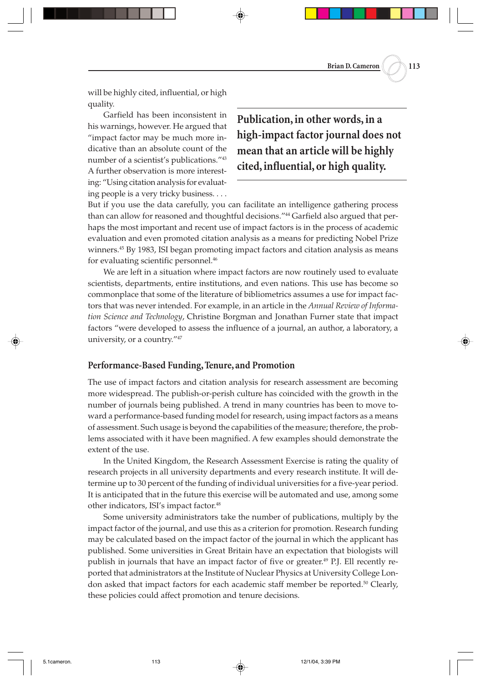**Brian D. Cameron 113**

will be highly cited, influential, or high quality.

Garfield has been inconsistent in his warnings, however. He argued that "impact factor may be much more indicative than an absolute count of the number of a scientist's publications."43 A further observation is more interesting: "Using citation analysis for evaluating people is a very tricky business. . . .

**Publication, in other words, in a high-impact factor journal does not mean that an article will be highly cited, influential, or high quality.**

But if you use the data carefully, you can facilitate an intelligence gathering process than can allow for reasoned and thoughtful decisions."<sup>44</sup> Garfield also argued that perhaps the most important and recent use of impact factors is in the process of academic evaluation and even promoted citation analysis as a means for predicting Nobel Prize winners.<sup>45</sup> By 1983, ISI began promoting impact factors and citation analysis as means for evaluating scientific personnel.<sup>46</sup>

We are left in a situation where impact factors are now routinely used to evaluate scientists, departments, entire institutions, and even nations. This use has become so commonplace that some of the literature of bibliometrics assumes a use for impact factors that was never intended. For example, in an article in the *Annual Review of Information Science and Technology*, Christine Borgman and Jonathan Furner state that impact factors "were developed to assess the influence of a journal, an author, a laboratory, a university, or a country."47

### **Performance-Based Funding, Tenure, and Promotion**

The use of impact factors and citation analysis for research assessment are becoming more widespread. The publish-or-perish culture has coincided with the growth in the number of journals being published. A trend in many countries has been to move toward a performance-based funding model for research, using impact factors as a means of assessment. Such usage is beyond the capabilities of the measure; therefore, the problems associated with it have been magnified. A few examples should demonstrate the extent of the use.

In the United Kingdom, the Research Assessment Exercise is rating the quality of research projects in all university departments and every research institute. It will determine up to 30 percent of the funding of individual universities for a five-year period. It is anticipated that in the future this exercise will be automated and use, among some other indicators, ISI's impact factor.48

Some university administrators take the number of publications, multiply by the impact factor of the journal, and use this as a criterion for promotion. Research funding may be calculated based on the impact factor of the journal in which the applicant has published. Some universities in Great Britain have an expectation that biologists will publish in journals that have an impact factor of five or greater.<sup>49</sup> P.J. Ell recently reported that administrators at the Institute of Nuclear Physics at University College London asked that impact factors for each academic staff member be reported.50 Clearly, these policies could affect promotion and tenure decisions.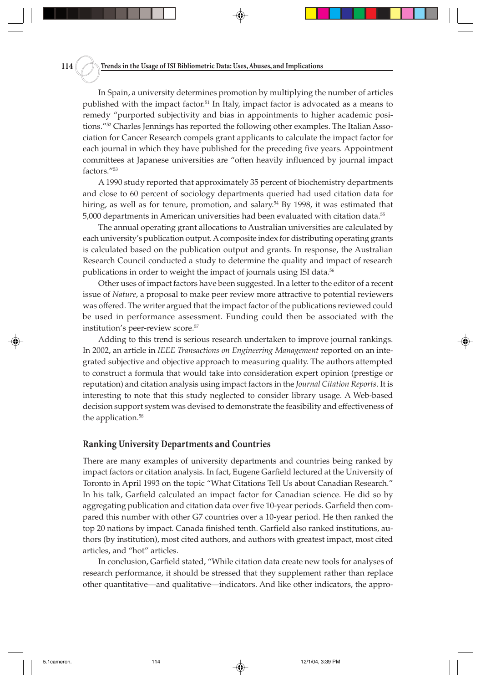**114 Trends in the Usage of ISI Bibliometric Data: Uses, Abuses, and Implications**

In Spain, a university determines promotion by multiplying the number of articles published with the impact factor.<sup>51</sup> In Italy, impact factor is advocated as a means to remedy "purported subjectivity and bias in appointments to higher academic positions."<sup>52</sup> Charles Jennings has reported the following other examples. The Italian Association for Cancer Research compels grant applicants to calculate the impact factor for each journal in which they have published for the preceding five years. Appointment committees at Japanese universities are "often heavily influenced by journal impact factors."53

A 1990 study reported that approximately 35 percent of biochemistry departments and close to 60 percent of sociology departments queried had used citation data for hiring, as well as for tenure, promotion, and salary.<sup>54</sup> By 1998, it was estimated that 5,000 departments in American universities had been evaluated with citation data.55

The annual operating grant allocations to Australian universities are calculated by each university's publication output. A composite index for distributing operating grants is calculated based on the publication output and grants. In response, the Australian Research Council conducted a study to determine the quality and impact of research publications in order to weight the impact of journals using ISI data.<sup>56</sup>

Other uses of impact factors have been suggested. In a letter to the editor of a recent issue of *Nature*, a proposal to make peer review more attractive to potential reviewers was offered. The writer argued that the impact factor of the publications reviewed could be used in performance assessment. Funding could then be associated with the institution's peer-review score.<sup>57</sup>

Adding to this trend is serious research undertaken to improve journal rankings. In 2002, an article in *IEEE Transactions on Engineering Management* reported on an integrated subjective and objective approach to measuring quality. The authors attempted to construct a formula that would take into consideration expert opinion (prestige or reputation) and citation analysis using impact factors in the *Journal Citation Reports*. It is interesting to note that this study neglected to consider library usage. A Web-based decision support system was devised to demonstrate the feasibility and effectiveness of the application.<sup>58</sup>

#### **Ranking University Departments and Countries**

There are many examples of university departments and countries being ranked by impact factors or citation analysis. In fact, Eugene Garfield lectured at the University of Toronto in April 1993 on the topic "What Citations Tell Us about Canadian Research." In his talk, Garfield calculated an impact factor for Canadian science. He did so by aggregating publication and citation data over five 10-year periods. Garfield then compared this number with other G7 countries over a 10-year period. He then ranked the top 20 nations by impact. Canada finished tenth. Garfield also ranked institutions, authors (by institution), most cited authors, and authors with greatest impact, most cited articles, and "hot" articles.

In conclusion, Garfield stated, "While citation data create new tools for analyses of research performance, it should be stressed that they supplement rather than replace other quantitative—and qualitative—indicators. And like other indicators, the appro-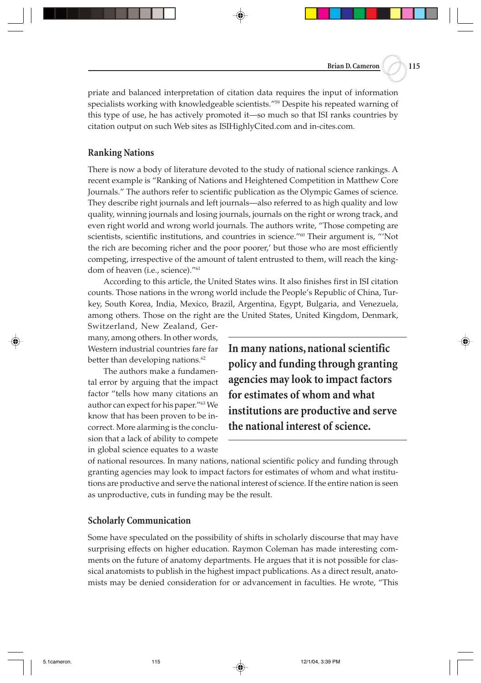priate and balanced interpretation of citation data requires the input of information specialists working with knowledgeable scientists."59 Despite his repeated warning of this type of use, he has actively promoted it—so much so that ISI ranks countries by citation output on such Web sites as ISIHighlyCited.com and in-cites.com.

#### **Ranking Nations**

There is now a body of literature devoted to the study of national science rankings. A recent example is "Ranking of Nations and Heightened Competition in Matthew Core Journals." The authors refer to scientific publication as the Olympic Games of science. They describe right journals and left journals—also referred to as high quality and low quality, winning journals and losing journals, journals on the right or wrong track, and even right world and wrong world journals. The authors write, "Those competing are scientists, scientific institutions, and countries in science."60 Their argument is, "'Not the rich are becoming richer and the poor poorer,' but those who are most efficiently competing, irrespective of the amount of talent entrusted to them, will reach the kingdom of heaven (i.e., science)."<sup>61</sup>

According to this article, the United States wins. It also finishes first in ISI citation counts. Those nations in the wrong world include the People's Republic of China, Turkey, South Korea, India, Mexico, Brazil, Argentina, Egypt, Bulgaria, and Venezuela, among others. Those on the right are the United States, United Kingdom, Denmark,

Switzerland, New Zealand, Germany, among others. In other words, Western industrial countries fare far better than developing nations.<sup>62</sup>

The authors make a fundamental error by arguing that the impact factor "tells how many citations an author can expect for his paper."63 We know that has been proven to be incorrect. More alarming is the conclusion that a lack of ability to compete in global science equates to a waste

**In many nations, national scientific policy and funding through granting agencies may look to impact factors for estimates of whom and what institutions are productive and serve the national interest of science.**

of national resources. In many nations, national scientific policy and funding through granting agencies may look to impact factors for estimates of whom and what institutions are productive and serve the national interest of science. If the entire nation is seen as unproductive, cuts in funding may be the result.

#### **Scholarly Communication**

Some have speculated on the possibility of shifts in scholarly discourse that may have surprising effects on higher education. Raymon Coleman has made interesting comments on the future of anatomy departments. He argues that it is not possible for classical anatomists to publish in the highest impact publications. As a direct result, anatomists may be denied consideration for or advancement in faculties. He wrote, "This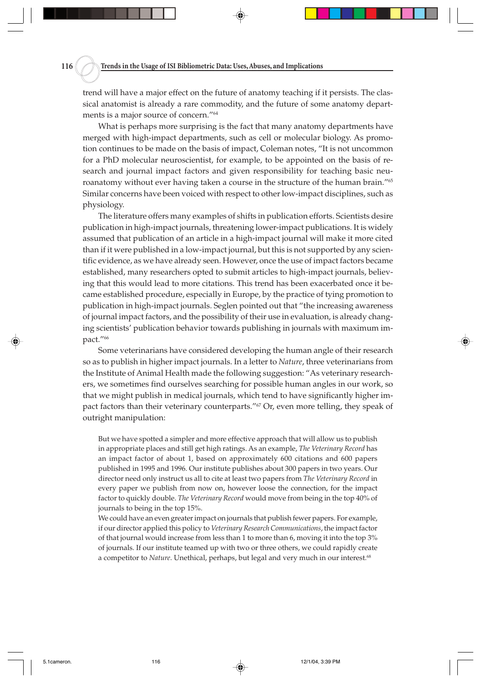trend will have a major effect on the future of anatomy teaching if it persists. The classical anatomist is already a rare commodity, and the future of some anatomy departments is a major source of concern."64

What is perhaps more surprising is the fact that many anatomy departments have merged with high-impact departments, such as cell or molecular biology. As promotion continues to be made on the basis of impact, Coleman notes, "It is not uncommon for a PhD molecular neuroscientist, for example, to be appointed on the basis of research and journal impact factors and given responsibility for teaching basic neuroanatomy without ever having taken a course in the structure of the human brain."<sup>65</sup> Similar concerns have been voiced with respect to other low-impact disciplines, such as physiology.

The literature offers many examples of shifts in publication efforts. Scientists desire publication in high-impact journals, threatening lower-impact publications. It is widely assumed that publication of an article in a high-impact journal will make it more cited than if it were published in a low-impact journal, but this is not supported by any scientific evidence, as we have already seen. However, once the use of impact factors became established, many researchers opted to submit articles to high-impact journals, believing that this would lead to more citations. This trend has been exacerbated once it became established procedure, especially in Europe, by the practice of tying promotion to publication in high-impact journals. Seglen pointed out that "the increasing awareness of journal impact factors, and the possibility of their use in evaluation, is already changing scientists' publication behavior towards publishing in journals with maximum impact."66

Some veterinarians have considered developing the human angle of their research so as to publish in higher impact journals. In a letter to *Nature*, three veterinarians from the Institute of Animal Health made the following suggestion: "As veterinary researchers, we sometimes find ourselves searching for possible human angles in our work, so that we might publish in medical journals, which tend to have significantly higher impact factors than their veterinary counterparts." $\frac{67}{2}$  Or, even more telling, they speak of outright manipulation:

But we have spotted a simpler and more effective approach that will allow us to publish in appropriate places and still get high ratings. As an example, *The Veterinary Record* has an impact factor of about 1, based on approximately 600 citations and 600 papers published in 1995 and 1996. Our institute publishes about 300 papers in two years. Our director need only instruct us all to cite at least two papers from *The Veterinary Record* in every paper we publish from now on, however loose the connection, for the impact factor to quickly double. *The Veterinary Record* would move from being in the top 40% of journals to being in the top 15%.

We could have an even greater impact on journals that publish fewer papers. For example, if our director applied this policy to *Veterinary Research Communications*, the impact factor of that journal would increase from less than 1 to more than 6, moving it into the top 3% of journals. If our institute teamed up with two or three others, we could rapidly create a competitor to *Nature*. Unethical, perhaps, but legal and very much in our interest.68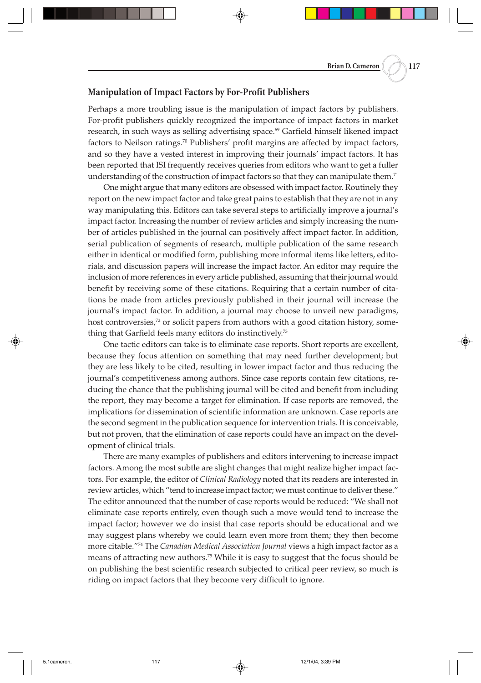#### **Manipulation of Impact Factors by For-Profit Publishers**

Perhaps a more troubling issue is the manipulation of impact factors by publishers. For-profit publishers quickly recognized the importance of impact factors in market research, in such ways as selling advertising space.<sup>69</sup> Garfield himself likened impact factors to Neilson ratings.<sup>70</sup> Publishers' profit margins are affected by impact factors, and so they have a vested interest in improving their journals' impact factors. It has been reported that ISI frequently receives queries from editors who want to get a fuller understanding of the construction of impact factors so that they can manipulate them.<sup>71</sup>

One might argue that many editors are obsessed with impact factor. Routinely they report on the new impact factor and take great pains to establish that they are not in any way manipulating this. Editors can take several steps to artificially improve a journal's impact factor. Increasing the number of review articles and simply increasing the number of articles published in the journal can positively affect impact factor. In addition, serial publication of segments of research, multiple publication of the same research either in identical or modified form, publishing more informal items like letters, editorials, and discussion papers will increase the impact factor. An editor may require the inclusion of more references in every article published, assuming that their journal would benefit by receiving some of these citations. Requiring that a certain number of citations be made from articles previously published in their journal will increase the journal's impact factor. In addition, a journal may choose to unveil new paradigms, host controversies,<sup>72</sup> or solicit papers from authors with a good citation history, something that Garfield feels many editors do instinctively.73

One tactic editors can take is to eliminate case reports. Short reports are excellent, because they focus attention on something that may need further development; but they are less likely to be cited, resulting in lower impact factor and thus reducing the journal's competitiveness among authors. Since case reports contain few citations, reducing the chance that the publishing journal will be cited and benefit from including the report, they may become a target for elimination. If case reports are removed, the implications for dissemination of scientific information are unknown. Case reports are the second segment in the publication sequence for intervention trials. It is conceivable, but not proven, that the elimination of case reports could have an impact on the development of clinical trials.

There are many examples of publishers and editors intervening to increase impact factors. Among the most subtle are slight changes that might realize higher impact factors. For example, the editor of *Clinical Radiology* noted that its readers are interested in review articles, which "tend to increase impact factor; we must continue to deliver these." The editor announced that the number of case reports would be reduced: "We shall not eliminate case reports entirely, even though such a move would tend to increase the impact factor; however we do insist that case reports should be educational and we may suggest plans whereby we could learn even more from them; they then become more citable."74 The *Canadian Medical Association Journal* views a high impact factor as a means of attracting new authors.<sup>75</sup> While it is easy to suggest that the focus should be on publishing the best scientific research subjected to critical peer review, so much is riding on impact factors that they become very difficult to ignore.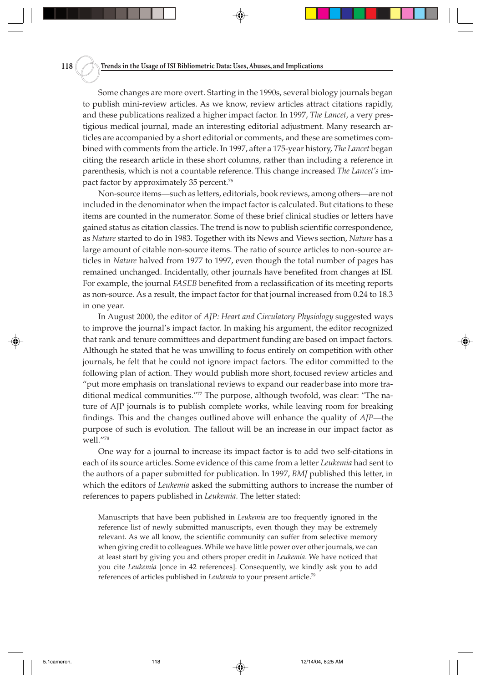Some changes are more overt. Starting in the 1990s, several biology journals began to publish mini-review articles. As we know, review articles attract citations rapidly, and these publications realized a higher impact factor. In 1997, *The Lancet*, a very prestigious medical journal, made an interesting editorial adjustment. Many research articles are accompanied by a short editorial or comments, and these are sometimes combined with comments from the article. In 1997, after a 175-year history, *The Lancet* began citing the research article in these short columns, rather than including a reference in parenthesis, which is not a countable reference. This change increased *The Lancet's* impact factor by approximately 35 percent.<sup>76</sup>

Non-source items—such as letters, editorials, book reviews, among others—are not included in the denominator when the impact factor is calculated. But citations to these items are counted in the numerator. Some of these brief clinical studies or letters have gained status as citation classics. The trend is now to publish scientific correspondence, as *Nature* started to do in 1983. Together with its News and Views section, *Nature* has a large amount of citable non-source items. The ratio of source articles to non-source articles in *Nature* halved from 1977 to 1997, even though the total number of pages has remained unchanged. Incidentally, other journals have benefited from changes at ISI. For example, the journal *FASEB* benefited from a reclassification of its meeting reports as non-source. As a result, the impact factor for that journal increased from 0.24 to 18.3 in one year.

In August 2000, the editor of *AJP: Heart and Circulatory Physiology* suggested ways to improve the journal's impact factor. In making his argument, the editor recognized that rank and tenure committees and department funding are based on impact factors. Although he stated that he was unwilling to focus entirely on competition with other journals, he felt that he could not ignore impact factors. The editor committed to the following plan of action. They would publish more short, focused review articles and "put more emphasis on translational reviews to expand our reader base into more traditional medical communities."77 The purpose, although twofold, was clear: "The nature of AJP journals is to publish complete works, while leaving room for breaking findings. This and the changes outlined above will enhance the quality of *AJP*—the purpose of such is evolution. The fallout will be an increase in our impact factor as well."78

One way for a journal to increase its impact factor is to add two self-citations in each of its source articles. Some evidence of this came from a letter *Leukemia* had sent to the authors of a paper submitted for publication. In 1997, *BMJ* published this letter, in which the editors of *Leukemia* asked the submitting authors to increase the number of references to papers published in *Leukemia*. The letter stated:

Manuscripts that have been published in *Leukemia* are too frequently ignored in the reference list of newly submitted manuscripts, even though they may be extremely relevant. As we all know, the scientific community can suffer from selective memory when giving credit to colleagues. While we have little power over other journals, we can at least start by giving you and others proper credit in *Leukemia*. We have noticed that you cite *Leukemia* [once in 42 references]. Consequently, we kindly ask you to add references of articles published in *Leukemia* to your present article.79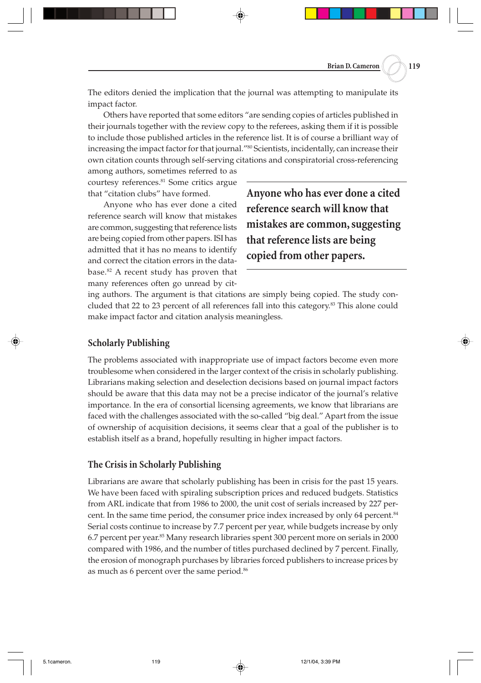The editors denied the implication that the journal was attempting to manipulate its impact factor.

Others have reported that some editors "are sending copies of articles published in their journals together with the review copy to the referees, asking them if it is possible to include those published articles in the reference list. It is of course a brilliant way of increasing the impact factor for that journal."<sup>80</sup> Scientists, incidentally, can increase their own citation counts through self-serving citations and conspiratorial cross-referencing

among authors, sometimes referred to as courtesy references.<sup>81</sup> Some critics argue that "citation clubs" have formed.

Anyone who has ever done a cited reference search will know that mistakes are common, suggesting that reference lists are being copied from other papers. ISI has admitted that it has no means to identify and correct the citation errors in the database.82 A recent study has proven that many references often go unread by cit**Anyone who has ever done a cited reference search will know that mistakes are common, suggesting that reference lists are being copied from other papers.**

ing authors. The argument is that citations are simply being copied. The study concluded that 22 to 23 percent of all references fall into this category.83 This alone could make impact factor and citation analysis meaningless.

# **Scholarly Publishing**

The problems associated with inappropriate use of impact factors become even more troublesome when considered in the larger context of the crisis in scholarly publishing. Librarians making selection and deselection decisions based on journal impact factors should be aware that this data may not be a precise indicator of the journal's relative importance. In the era of consortial licensing agreements, we know that librarians are faced with the challenges associated with the so-called "big deal." Apart from the issue of ownership of acquisition decisions, it seems clear that a goal of the publisher is to establish itself as a brand, hopefully resulting in higher impact factors.

# **The Crisis in Scholarly Publishing**

Librarians are aware that scholarly publishing has been in crisis for the past 15 years. We have been faced with spiraling subscription prices and reduced budgets. Statistics from ARL indicate that from 1986 to 2000, the unit cost of serials increased by 227 percent. In the same time period, the consumer price index increased by only 64 percent.<sup>84</sup> Serial costs continue to increase by 7.7 percent per year, while budgets increase by only 6.7 percent per year.85 Many research libraries spent 300 percent more on serials in 2000 compared with 1986, and the number of titles purchased declined by 7 percent. Finally, the erosion of monograph purchases by libraries forced publishers to increase prices by as much as 6 percent over the same period.<sup>86</sup>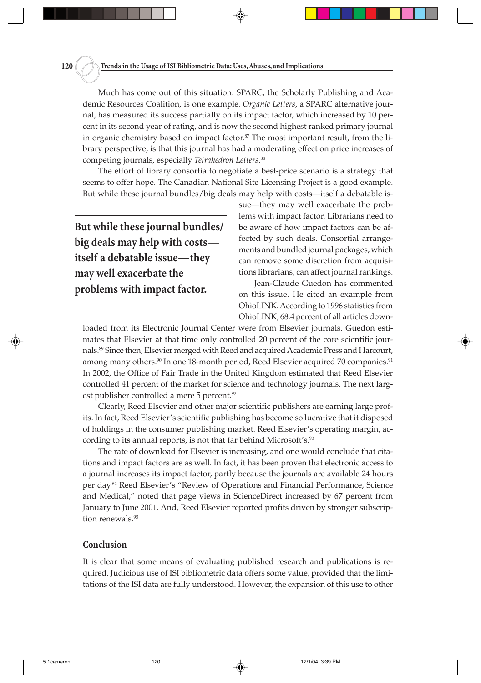Much has come out of this situation. SPARC, the Scholarly Publishing and Academic Resources Coalition, is one example. *Organic Letters*, a SPARC alternative journal, has measured its success partially on its impact factor, which increased by 10 percent in its second year of rating, and is now the second highest ranked primary journal in organic chemistry based on impact factor.<sup>87</sup> The most important result, from the library perspective, is that this journal has had a moderating effect on price increases of competing journals, especially *Tetrahedron Letters*. 88

The effort of library consortia to negotiate a best-price scenario is a strategy that seems to offer hope. The Canadian National Site Licensing Project is a good example. But while these journal bundles/big deals may help with costs—itself a debatable is-

**But while these journal bundles/ big deals may help with costs itself a debatable issue—they may well exacerbate the problems with impact factor.**

sue—they may well exacerbate the problems with impact factor. Librarians need to be aware of how impact factors can be affected by such deals. Consortial arrangements and bundled journal packages, which can remove some discretion from acquisitions librarians, can affect journal rankings.

Jean-Claude Guedon has commented on this issue. He cited an example from OhioLINK. According to 1996 statistics from OhioLINK, 68.4 percent of all articles down-

loaded from its Electronic Journal Center were from Elsevier journals. Guedon estimates that Elsevier at that time only controlled 20 percent of the core scientific journals.89 Since then, Elsevier merged with Reed and acquired Academic Press and Harcourt, among many others.<sup>90</sup> In one 18-month period, Reed Elsevier acquired 70 companies.<sup>91</sup> In 2002, the Office of Fair Trade in the United Kingdom estimated that Reed Elsevier controlled 41 percent of the market for science and technology journals. The next largest publisher controlled a mere 5 percent.<sup>92</sup>

Clearly, Reed Elsevier and other major scientific publishers are earning large profits. In fact, Reed Elsevier's scientific publishing has become so lucrative that it disposed of holdings in the consumer publishing market. Reed Elsevier's operating margin, according to its annual reports, is not that far behind Microsoft's.<sup>93</sup>

The rate of download for Elsevier is increasing, and one would conclude that citations and impact factors are as well. In fact, it has been proven that electronic access to a journal increases its impact factor, partly because the journals are available 24 hours per day.94 Reed Elsevier's "Review of Operations and Financial Performance, Science and Medical," noted that page views in ScienceDirect increased by 67 percent from January to June 2001. And, Reed Elsevier reported profits driven by stronger subscription renewals.<sup>95</sup>

#### **Conclusion**

It is clear that some means of evaluating published research and publications is required. Judicious use of ISI bibliometric data offers some value, provided that the limitations of the ISI data are fully understood. However, the expansion of this use to other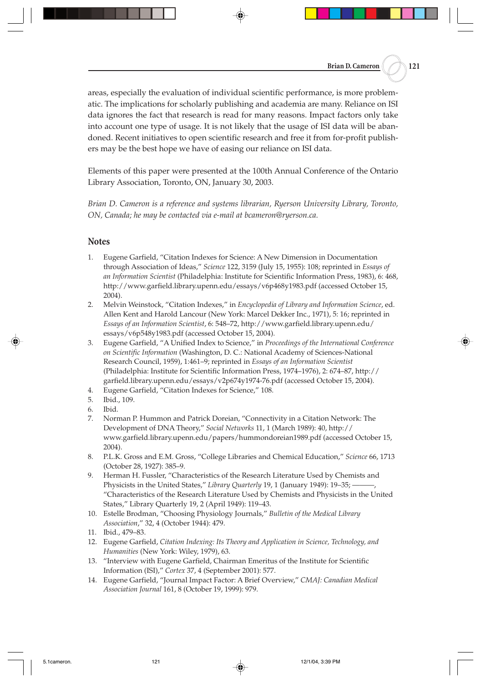areas, especially the evaluation of individual scientific performance, is more problematic. The implications for scholarly publishing and academia are many. Reliance on ISI data ignores the fact that research is read for many reasons. Impact factors only take into account one type of usage. It is not likely that the usage of ISI data will be abandoned. Recent initiatives to open scientific research and free it from for-profit publishers may be the best hope we have of easing our reliance on ISI data.

Elements of this paper were presented at the 100th Annual Conference of the Ontario Library Association, Toronto, ON, January 30, 2003.

*Brian D. Cameron is a reference and systems librarian, Ryerson University Library, Toronto, ON, Canada; he may be contacted via e-mail at bcameron@ryerson.ca.*

# **Notes**

- 1. Eugene Garfield, "Citation Indexes for Science: A New Dimension in Documentation through Association of Ideas," *Science* 122, 3159 (July 15, 1955): 108; reprinted in *Essays of an Information Scientist* (Philadelphia: Institute for Scientific Information Press, 1983), 6: 468, http://www.garfield.library.upenn.edu/essays/v6p468y1983.pdf (accessed October 15, 2004).
- 2. Melvin Weinstock, "Citation Indexes," in *Encyclopedia of Library and Information Science*, ed. Allen Kent and Harold Lancour (New York: Marcel Dekker Inc., 1971), 5: 16; reprinted in *Essays of an Information Scientist*, 6: 548–72, http://www.garfield.library.upenn.edu/ essays/v6p548y1983.pdf (accessed October 15, 2004).
- 3. Eugene Garfield, "A Unified Index to Science," in *Proceedings of the International Conference on Scientific Information* (Washington, D. C.: National Academy of Sciences-National Research Council, 1959), 1:461–9; reprinted in *Essays of an Information Scientist* (Philadelphia: Institute for Scientific Information Press, 1974–1976), 2: 674–87, http:// garfield.library.upenn.edu/essays/v2p674y1974-76.pdf (accessed October 15, 2004).
- 4. Eugene Garfield, "Citation Indexes for Science," 108.
- 5. Ibid., 109.
- 6. Ibid.
- 7. Norman P. Hummon and Patrick Doreian, "Connectivity in a Citation Network: The Development of DNA Theory," *Social Networks* 11, 1 (March 1989): 40, http:// www.garfield.library.upenn.edu/papers/hummondoreian1989.pdf (accessed October 15, 2004).
- 8. P.L.K. Gross and E.M. Gross, "College Libraries and Chemical Education," *Science* 66, 1713 (October 28, 1927): 385–9.
- 9. Herman H. Fussler, "Characteristics of the Research Literature Used by Chemists and Physicists in the United States," *Library Quarterly* 19, 1 (January 1949): 19-35; -"Characteristics of the Research Literature Used by Chemists and Physicists in the United States," Library Quarterly 19, 2 (April 1949): 119–43.
- 10. Estelle Brodman, "Choosing Physiology Journals," *Bulletin of the Medical Library Association*," 32, 4 (October 1944): 479.
- 11. Ibid., 479–83.
- 12. Eugene Garfield, *Citation Indexing: Its Theory and Application in Science, Technology, and Humanities* (New York: Wiley, 1979), 63.
- 13. "Interview with Eugene Garfield, Chairman Emeritus of the Institute for Scientific Information (ISI)," *Cortex* 37, 4 (September 2001): 577.
- 14. Eugene Garfield, "Journal Impact Factor: A Brief Overview," *CMAJ: Canadian Medical Association Journal* 161, 8 (October 19, 1999): 979.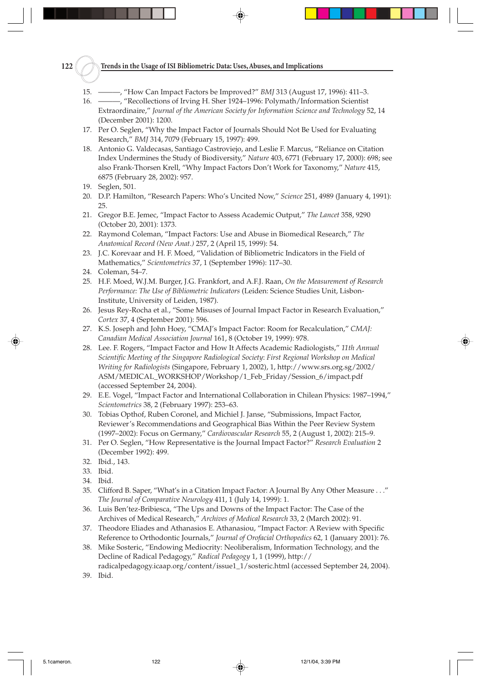# **122 Trends in the Usage of ISI Bibliometric Data: Uses, Abuses, and Implications**

- 15. ———, "How Can Impact Factors be Improved?" *BMJ* 313 (August 17, 1996): 411–3.
- 16. ———, "Recollections of Irving H. Sher 1924–1996: Polymath/Information Scientist Extraordinaire," *Journal of the American Society for Information Science and Technology* 52, 14 (December 2001): 1200.
- 17. Per O. Seglen, "Why the Impact Factor of Journals Should Not Be Used for Evaluating Research," *BMJ* 314, 7079 (February 15, 1997): 499.
- 18. Antonio G. Valdecasas, Santiago Castroviejo, and Leslie F. Marcus, "Reliance on Citation Index Undermines the Study of Biodiversity," *Nature* 403, 6771 (February 17, 2000): 698; see also Frank-Thorsen Krell, "Why Impact Factors Don't Work for Taxonomy," *Nature* 415, 6875 (February 28, 2002): 957.
- 19. Seglen, 501.
- 20. D.P. Hamilton, "Research Papers: Who's Uncited Now," *Science* 251, 4989 (January 4, 1991): 25.
- 21. Gregor B.E. Jemec, "Impact Factor to Assess Academic Output," *The Lancet* 358, 9290 (October 20, 2001): 1373.
- 22. Raymond Coleman, "Impact Factors: Use and Abuse in Biomedical Research," *The Anatomical Record (New Anat.)* 257, 2 (April 15, 1999): 54.
- 23. J.C. Korevaar and H. F. Moed, "Validation of Bibliometric Indicators in the Field of Mathematics," *Scientometrics* 37, 1 (September 1996): 117–30.
- 24. Coleman, 54–7.
- 25. H.F. Moed, W.J.M. Burger, J.G. Frankfort, and A.F.J. Raan, *On the Measurement of Research Performance: The Use of Bibliometric Indicators* (Leiden: Science Studies Unit, Lisbon-Institute, University of Leiden, 1987).
- 26. Jesus Rey-Rocha et al., "Some Misuses of Journal Impact Factor in Research Evaluation," *Cortex* 37, 4 (September 2001): 596.
- 27. K.S. Joseph and John Hoey, "CMAJ's Impact Factor: Room for Recalculation," *CMAJ: Canadian Medical Association Journal* 161, 8 (October 19, 1999): 978.
- 28. Lee. F. Rogers, "Impact Factor and How It Affects Academic Radiologists," *11th Annual Scientific Meeting of the Singapore Radiological Society*: *First Regional Workshop on Medical Writing for Radiologists* (Singapore, February 1, 2002), 1, http://www.srs.org.sg/2002/ ASM/MEDICAL\_WORKSHOP/Workshop/1\_Feb\_Friday/Session\_6/impact.pdf (accessed September 24, 2004).
- 29. E.E. Vogel, "Impact Factor and International Collaboration in Chilean Physics: 1987–1994," *Scientometrics* 38, 2 (February 1997): 253–63.
- 30. Tobias Opthof, Ruben Coronel, and Michiel J. Janse, "Submissions, Impact Factor, Reviewer's Recommendations and Geographical Bias Within the Peer Review System (1997–2002): Focus on Germany," *Cardiovascular Research* 55, 2 (August 1, 2002): 215–9.
- 31. Per O. Seglen, "How Representative is the Journal Impact Factor?" *Research Evaluation* 2 (December 1992): 499.
- 32. Ibid., 143.
- 33. Ibid.
- 34. Ibid.
- 35. Clifford B. Saper, "What's in a Citation Impact Factor: A Journal By Any Other Measure . . ." *The Journal of Comparative Neurology* 411, 1 (July 14, 1999): 1.
- 36. Luis Ben'tez-Bribiesca, "The Ups and Downs of the Impact Factor: The Case of the Archives of Medical Research," *Archives of Medical Research* 33, 2 (March 2002): 91.
- 37. Theodore Eliades and Athanasios E. Athanasiou, "Impact Factor: A Review with Specific Reference to Orthodontic Journals," *Journal of Orofacial Orthopedics* 62, 1 (January 2001): 76.
- 38. Mike Sosteric, "Endowing Mediocrity: Neoliberalism, Information Technology, and the Decline of Radical Pedagogy," *Radical Pedagogy* 1, 1 (1999), http:// radicalpedagogy.icaap.org/content/issue1\_1/sosteric.html (accessed September 24, 2004).
- 39. Ibid.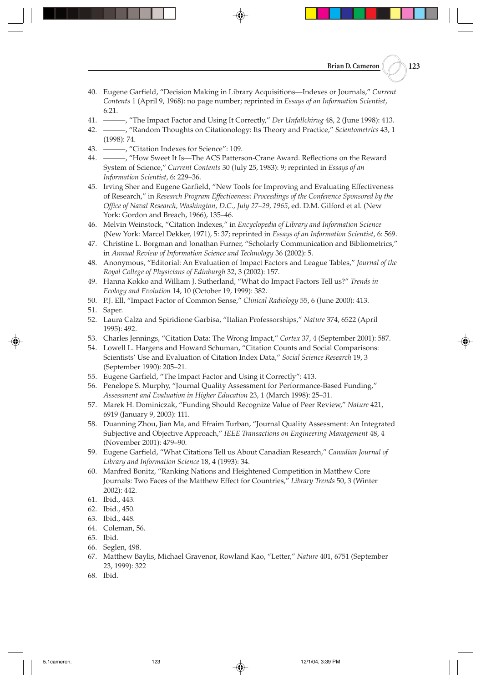- 40. Eugene Garfield, "Decision Making in Library Acquisitions—Indexes or Journals," *Current Contents* 1 (April 9, 1968): no page number; reprinted in *Essays of an Information Scientist*, 6:21.
- 41. ———, "The Impact Factor and Using It Correctly," *Der Unfallchirug* 48, 2 (June 1998): 413.
- 42. ———, "Random Thoughts on Citationology: Its Theory and Practice," *Scientometrics* 43, 1 (1998): 74.
- 43. ———, "Citation Indexes for Science": 109.
- 44. ———, "How Sweet It Is—The ACS Patterson-Crane Award. Reflections on the Reward System of Science," *Current Contents* 30 (July 25, 1983): 9; reprinted in *Essays of an Information Scientist*, 6: 229–36.
- 45. Irving Sher and Eugene Garfield, "New Tools for Improving and Evaluating Effectiveness of Research," in *Research Program Effectiveness: Proceedings of the Conference Sponsored by the Office of Naval Research, Washington, D.C., July 27–29, 1965*, ed. D.M. Gilford et al. (New York: Gordon and Breach, 1966), 135–46.
- 46. Melvin Weinstock, "Citation Indexes," in *Encyclopedia of Library and Information Science* (New York: Marcel Dekker, 1971), 5: 37; reprinted in *Essays of an Information Scientist*, 6: 569.
- 47. Christine L. Borgman and Jonathan Furner, "Scholarly Communication and Bibliometrics," in *Annual Review of Information Science and Technology* 36 (2002): 5.
- 48. Anonymous, "Editorial: An Evaluation of Impact Factors and League Tables," *Journal of the Royal College of Physicians of Edinburgh* 32, 3 (2002): 157.
- 49. Hanna Kokko and William J. Sutherland, "What do Impact Factors Tell us?" *Trends in Ecology and Evolution* 14, 10 (October 19, 1999): 382.
- 50. P.J. Ell, "Impact Factor of Common Sense," *Clinical Radiology* 55, 6 (June 2000): 413.
- 51. Saper.
- 52. Laura Calza and Spiridione Garbisa, "Italian Professorships," *Nature* 374, 6522 (April 1995): 492.
- 53. Charles Jennings, "Citation Data: The Wrong Impact," *Cortex* 37, 4 (September 2001): 587.
- 54. Lowell L. Hargens and Howard Schuman, "Citation Counts and Social Comparisons: Scientists' Use and Evaluation of Citation Index Data," *Social Science Research* 19, 3 (September 1990): 205–21.
- 55. Eugene Garfield, "The Impact Factor and Using it Correctly": 413.
- 56. Penelope S. Murphy, "Journal Quality Assessment for Performance-Based Funding," *Assessment and Evaluation in Higher Education* 23, 1 (March 1998): 25–31.
- 57. Marek H. Dominiczak, "Funding Should Recognize Value of Peer Review," *Nature* 421, 6919 (January 9, 2003): 111.
- 58. Duanning Zhou, Jian Ma, and Efraim Turban, "Journal Quality Assessment: An Integrated Subjective and Objective Approach," *IEEE Transactions on Engineering Management* 48, 4 (November 2001): 479–90.
- 59. Eugene Garfield, "What Citations Tell us About Canadian Research," *Canadian Journal of Library and Information Science* 18, 4 (1993): 34.
- 60. Manfred Bonitz, "Ranking Nations and Heightened Competition in Matthew Core Journals: Two Faces of the Matthew Effect for Countries," *Library Trends* 50, 3 (Winter 2002): 442.
- 61. Ibid., 443.
- 62. Ibid., 450.
- 63. Ibid., 448.
- 64. Coleman, 56.
- 65. Ibid.
- 66. Seglen, 498.
- 67. Matthew Baylis, Michael Gravenor, Rowland Kao, "Letter," *Nature* 401, 6751 (September 23, 1999): 322
- 68. Ibid.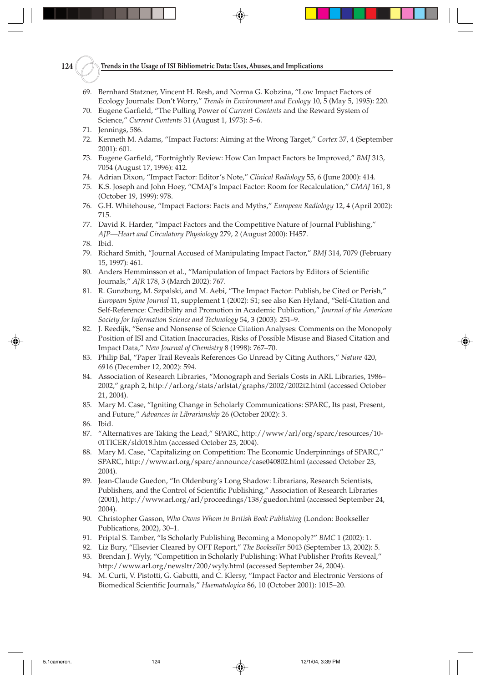#### **124 Trends in the Usage of ISI Bibliometric Data: Uses, Abuses, and Implications**

- 69. Bernhard Statzner, Vincent H. Resh, and Norma G. Kobzina, "Low Impact Factors of Ecology Journals: Don't Worry," *Trends in Environment and Ecology* 10, 5 (May 5, 1995): 220.
- 70. Eugene Garfield, "The Pulling Power of *Current Contents* and the Reward System of Science," *Current Contents* 31 (August 1, 1973): 5–6.
- 71. Jennings, 586.
- 72. Kenneth M. Adams, "Impact Factors: Aiming at the Wrong Target," *Cortex* 37, 4 (September 2001): 601.
- 73. Eugene Garfield, "Fortnightly Review: How Can Impact Factors be Improved," *BMJ* 313, 7054 (August 17, 1996): 412.
- 74. Adrian Dixon, "Impact Factor: Editor's Note," *Clinical Radiology* 55, 6 (June 2000): 414.
- 75. K.S. Joseph and John Hoey, "CMAJ's Impact Factor: Room for Recalculation," *CMAJ* 161, 8 (October 19, 1999): 978.
- 76. G.H. Whitehouse, "Impact Factors: Facts and Myths," *European Radiology* 12, 4 (April 2002): 715.
- 77. David R. Harder, "Impact Factors and the Competitive Nature of Journal Publishing," *AJP—Heart and Circulatory Physiology* 279, 2 (August 2000): H457.
- 78. Ibid.
- 79. Richard Smith, "Journal Accused of Manipulating Impact Factor," *BMJ* 314, 7079 (February 15, 1997): 461.
- 80. Anders Hemminsson et al., "Manipulation of Impact Factors by Editors of Scientific Journals," *AJR* 178, 3 (March 2002): 767.
- 81. R. Gunzburg, M. Szpalski, and M. Aebi, "The Impact Factor: Publish, be Cited or Perish," *European Spine Journal* 11, supplement 1 (2002): S1; see also Ken Hyland, "Self-Citation and Self-Reference: Credibility and Promotion in Academic Publication," *Journal of the American Society for Information Science and Technology* 54, 3 (2003): 251–9.
- 82. J. Reedijk, "Sense and Nonsense of Science Citation Analyses: Comments on the Monopoly Position of ISI and Citation Inaccuracies, Risks of Possible Misuse and Biased Citation and Impact Data," *New Journal of Chemistry* 8 (1998): 767–70.
- 83. Philip Bal, "Paper Trail Reveals References Go Unread by Citing Authors," *Nature* 420, 6916 (December 12, 2002): 594.
- 84. Association of Research Libraries, "Monograph and Serials Costs in ARL Libraries, 1986– 2002," graph 2, http://arl.org/stats/arlstat/graphs/2002/2002t2.html (accessed October 21, 2004).
- 85. Mary M. Case, "Igniting Change in Scholarly Communications: SPARC, Its past, Present, and Future," *Advances in Librarianship* 26 (October 2002): 3.
- 86. Ibid.
- 87. "Alternatives are Taking the Lead," SPARC, http://www/arl/org/sparc/resources/10- 01TICER/sld018.htm (accessed October 23, 2004).
- 88. Mary M. Case, "Capitalizing on Competition: The Economic Underpinnings of SPARC," SPARC, http://www.arl.org/sparc/announce/case040802.html (accessed October 23, 2004).
- 89. Jean-Claude Guedon, "In Oldenburg's Long Shadow: Librarians, Research Scientists, Publishers, and the Control of Scientific Publishing," Association of Research Libraries (2001), http://www.arl.org/arl/proceedings/138/guedon.html (accessed September 24, 2004).
- 90. Christopher Gasson, *Who Owns Whom in British Book Publishing* (London: Bookseller Publications, 2002), 30–1.
- 91. Priptal S. Tamber, "Is Scholarly Publishing Becoming a Monopoly?" *BMC* 1 (2002): 1.
- 92. Liz Bury, "Elsevier Cleared by OFT Report," *The Bookseller* 5043 (September 13, 2002): 5.
- 93. Brendan J. Wyly, "Competition in Scholarly Publishing: What Publisher Profits Reveal," http://www.arl.org/newsltr/200/wyly.html (accessed September 24, 2004).
- 94. M. Curti, V. Pistotti, G. Gabutti, and C. Klersy, "Impact Factor and Electronic Versions of Biomedical Scientific Journals," *Haematologica* 86, 10 (October 2001): 1015–20.